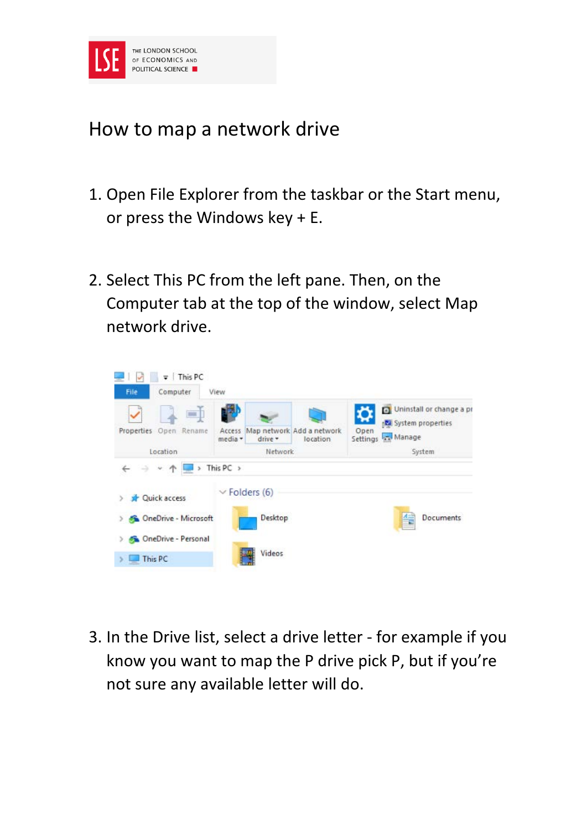

## How to map a network drive

- 1. Open File Explorer from the taskbar or the Start menu, or press the Windows key + E.
- 2. Select This PC from the left pane. Then, on the Computer tab at the top of the window, select Map network drive.



3. In the Drive list, select a drive letter - for example if you know you want to map the P drive pick P, but if you're not sure any available letter will do.